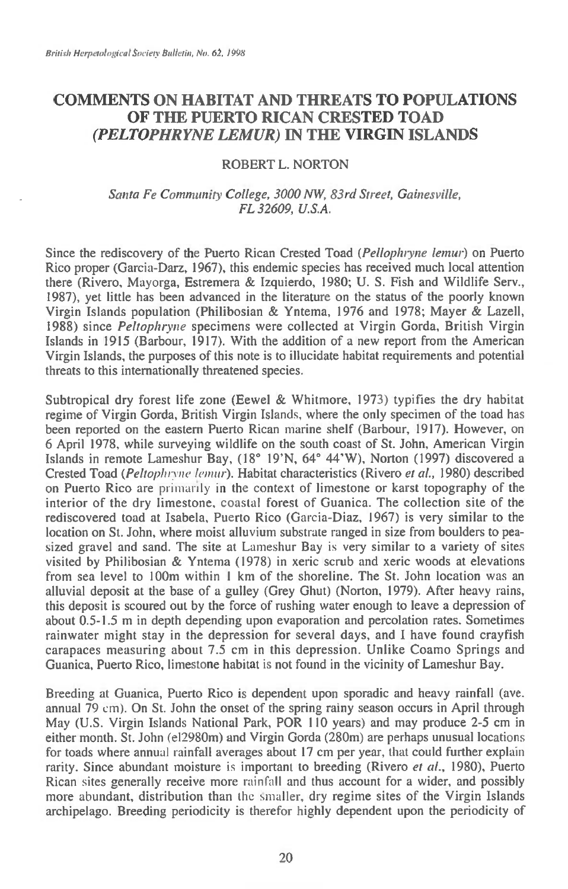## **COMMENTS ON HABITAT AND THREATS TO POPULATIONS OF THE PUERTO RICAN CRESTED TOAD**  *(PELTOPHRYNE LEMUR)* **IN THE VIRGIN ISLANDS**

## **ROBERT L. NORTON**

## *Santa Fe Community College, 3000 NW, 83rd Street, Gainesville, FL 32609, U.S.A.*

**Since the rediscovery of the Puerto Rican Crested Toad** *(Pellopluyne lemur)* **on Puerto**  Rico proper (Garcia-Darz, 1967), this endemic species has received much local attention **there (Rivero, Mayorga, Estremera & Izquierdo, 1980; U. S. Fish and Wildlife Serv., 1987), yet little has been advanced in the literature on the status of the poorly known Virgin Islands population (Philibosian & Yntema, 1976 and 1978; Mayer & Lazell, 1988) since** *Peltophryne* **specimens were collected at Virgin Gorda, British Virgin Islands in 1915 (Barbour, 1917). With the addition of a new report from the American Virgin Islands, the purposes of this note is to illucidate habitat requirements and potential threats to this internationally threatened species.** 

**Subtropical dry forest life zone (Eewel & Whitmore, 1973) typifies the dry habitat regime of Virgin Gorda, British Virgin Islands, where the only specimen of the toad has been reported on the eastern Puerto Rican marine shelf (Barbour, 1917). However, on 6 April 1978, while surveying wildlife on the south coast of St. John, American Virgin Islands in remote Lameshur Bay, (18° 19'N, 64° 44'W), Norton (1997) discovered a Crested Toad** *(PeItophryne lemur).* **Habitat characteristics (Rivero** *et al.,* **1980) described on Puerto Rico are primarily in the context of limestone or karst topography of the interior of the dry limestone, coastal forest of Guanica. The collection site of the rediscovered toad at Isabela, Puerto Rico (Garcia-Diaz, 1967) is very similar to the location on St. John, where moist alluvium substrate ranged in size from boulders to peasized gravel and sand. The site at Lameshur Bay is very similar to a variety of sites visited by Philibosian & Yntema (1978) in xeric scrub and xeric woods at elevations from sea level to 100m within 1 km of the shoreline. The St. John location was an alluvial deposit at the base of a gulley (Grey Ghut) (Norton, 1979). After heavy rains, this deposit is scoured out by the force of rushing water enough to leave a depression of about 0.5-1.5 m in depth depending upon evaporation and percolation rates. Sometimes rainwater might stay in the depression for several days, and I have found crayfish carapaces measuring about 7.5 cm in this depression. Unlike Coamo Springs and Guanica, Puerto Rico, limestone habitat is not found in the vicinity of Lameshur Bay.** 

**Breeding at Guanica, Puerto Rico is dependent upon sporadic and heavy rainfall (ave. annual 79** cm). **On St. John the onset of the spring rainy season occurs in April through May (U.S. Virgin Islands National Park, POR 110 years) and may produce 2-5 cm in either month. St. John (e12980m) and Virgin Gorda (280m) are perhaps unusual locations for toads where annual rainfall averages about 17 cm per year, that could further explain rarity. Since abundant moisture is important to breeding (Rivero** *et al.,* **1980), Puerto Rican sites generally receive more** rainfall **and thus account for a wider, and possibly more abundant, distribution than the smaller, dry regime sites of the Virgin Islands archipelago. Breeding periodicity is therefor highly dependent upon the periodicity of**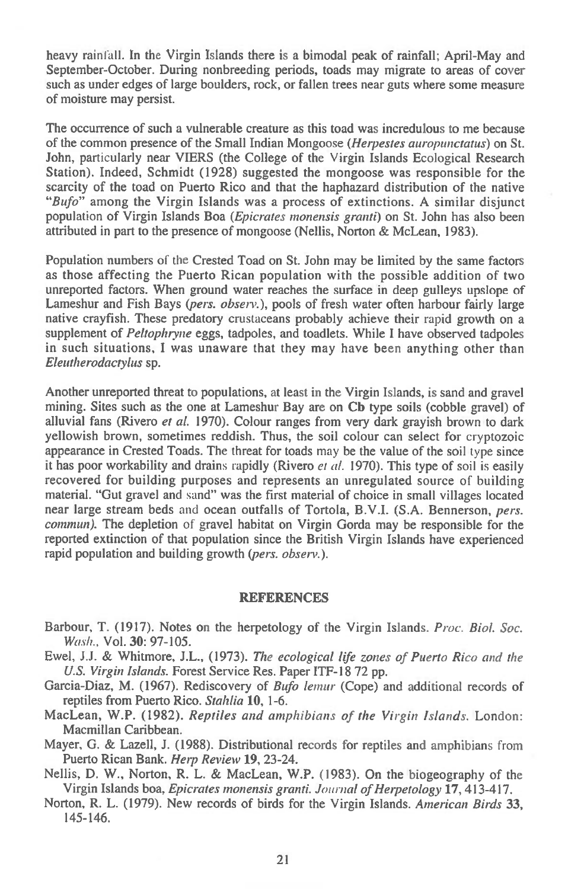heavy rainfall. In the Virgin Islands there is a bimodal peak of rainfall; April-May and September-October. During nonbreeding periods, toads may migrate to areas of cover such as under edges of large boulders, rock, or fallen trees near guts where some measure of moisture may persist.

The occurrence of such a vulnerable creature as this toad was incredulous to me because of the common presence of the Small Indian Mongoose *(Herpestes auropunctatus)* on St. John, particularly near VIERS (the College of the Virgin Islands Ecological Research Station). Indeed, Schmidt (1928) suggested the mongoose was responsible for the scarcity of the toad on Puerto Rico and that the haphazard distribution of the native *"Bufo"* among the Virgin Islands was a process of extinctions. A similar disjunct population of Virgin Islands Boa *(Epicrates monensis granti)* on St. John has also been attributed in part to the presence of mongoose (Nellis, Norton & McLean, 1983).

Population numbers of the Crested Toad on St. John may be limited by the same factors as those affecting the Puerto Rican population with the possible addition of two unreported factors. When ground water reaches the surface in deep gulleys upslope of Lameshur and Fish Bays *(pers. observ.),* pools of fresh water often harbour fairly large native crayfish. These predatory crustaceans probably achieve their rapid growth on a supplement of *Peltopluyne* eggs, tadpoles, and toadlets. While I have observed tadpoles in such situations, I was unaware that they may have been anything other than *Eleutherodactylus* sp.

Another unreported threat to populations, at least in the Virgin Islands, is sand and gravel mining. Sites such as the one at Lameshur Bay are on Cb type soils (cobble gravel) of alluvial fans (Rivero *et al.* 1970). Colour ranges from very dark grayish brown to dark yellowish brown, sometimes reddish. Thus, the soil colour can select for cryptozoic appearance in Crested Toads. The threat for toads may be the value of the soil type since it has poor workability and drains rapidly (Rivero *et al. 1970).* This type of soil is easily recovered for building purposes and represents an unregulated source of building material. "Gut gravel and sand" was the first material of choice in small villages located near large stream beds and ocean outfalls of Tortola, B.V.I. (S.A. Bennerson, *pers. commun).* The depletion of gravel habitat on Virgin Gorda may be responsible for the reported extinction of that population since the British Virgin Islands have experienced rapid population and building growth *(pers. observ.).* 

## REFERENCES

- Barbour, T. (1917). Notes on the herpetology of the Virgin Islands. *Proc. Biol. Soc. Wash.,* Vol. 30: 97-105.
- Ewel, J.J. & Whitmore, J.L., (1973). *The ecological life zones of Puerto Rico and the U.S. Virgin Islands.* Forest Service Res. Paper ITF-18 72 pp.
- Garcia-Diaz, M. (1967). Rediscovery of *Bufo lemur* (Cope) and additional records of reptiles from Puerto Rico. *Stahlia* 10, 1-6.
- MacLean, W.P. (1982). *Reptiles and amphibians of the Virgin Islands.* London: Macmillan Caribbean.
- Mayer, G. & Lazell, J. (1988). Distributional records for reptiles and amphibians from Puerto Rican Bank. *Herp Review* **19,** 23-24.
- Nellis, D. W., Norton, R. L. & MacLean, W.P. (1983). On the biogeography of the Virgin Islands boa, *Epicrates monensis granti. Journal of Herpetology* **17,** 413-417.
- Norton, R. L. (1979). New records of birds for the Virgin Islands. *American Birds* 33, 145-146.